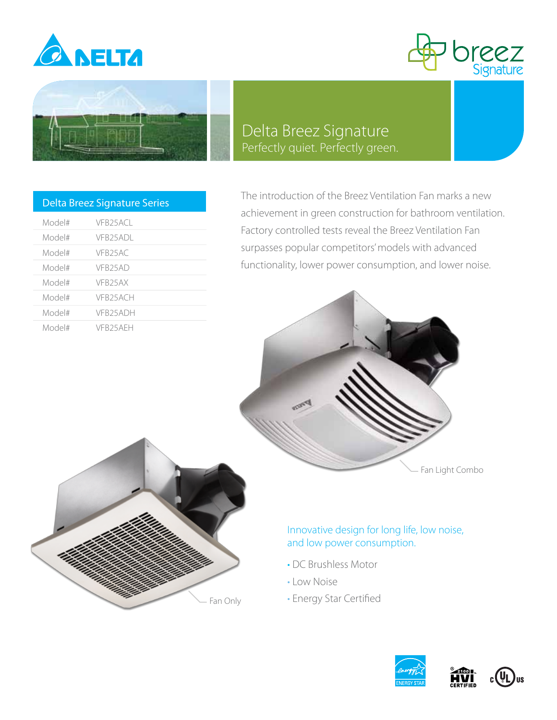





## Delta Breez Signature Perfectly quiet. Perfectly green.

| <b>Delta Breez Signature Series</b> |                      |  |  |  |  |  |  |
|-------------------------------------|----------------------|--|--|--|--|--|--|
| Model#                              | VER25ACL             |  |  |  |  |  |  |
| Model#                              | VFB25ADL             |  |  |  |  |  |  |
| Model#                              | VFR25AC              |  |  |  |  |  |  |
| Model#                              | VFR <sub>25</sub> AD |  |  |  |  |  |  |
| Model#                              | VFR25AX              |  |  |  |  |  |  |
| Model#                              | VFB25ACH             |  |  |  |  |  |  |
| Model#                              | VFR25ADH             |  |  |  |  |  |  |
| Model#                              | VFR25AFH             |  |  |  |  |  |  |

The introduction of the Breez Ventilation Fan marks a new achievement in green construction for bathroom ventilation. Factory controlled tests reveal the Breez Ventilation Fan surpasses popular competitors' models with advanced functionality, lower power consumption, and lower noise.





## Innovative design for long life, low noise, and low power consumption.

- DC Brushless Motor
- Low Noise
- Energy Star Certified